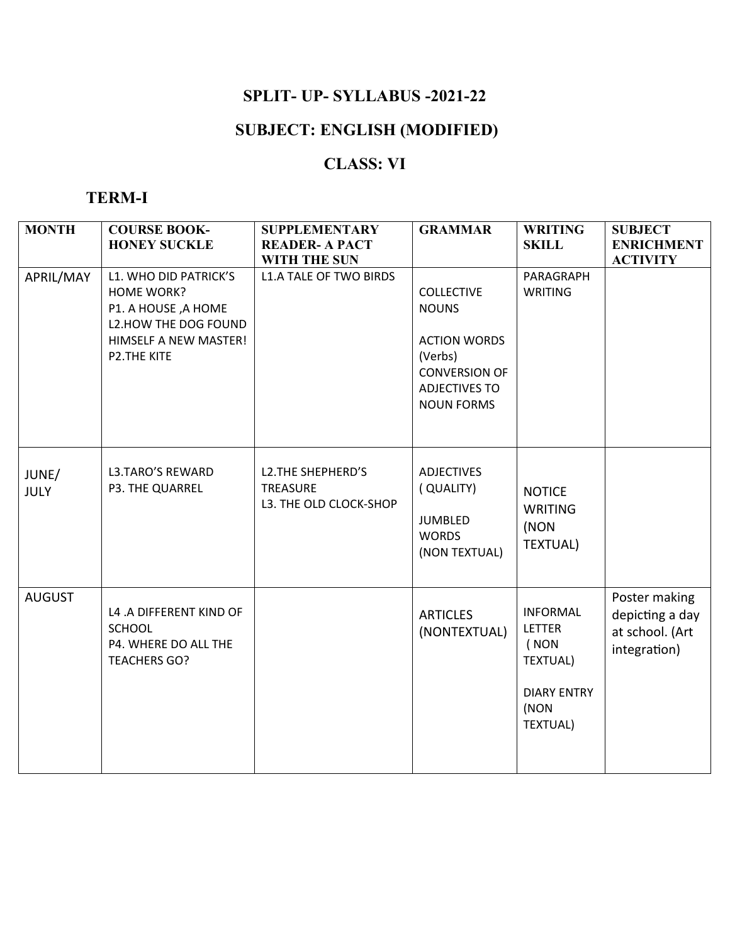## **SPLIT- UP- SYLLABUS -2021-22**

# **SUBJECT: ENGLISH (MODIFIED)**

## **CLASS: VI**

### **TERM-I**

| <b>MONTH</b>         | <b>COURSE BOOK-</b><br><b>HONEY SUCKLE</b>                                                                                               | <b>SUPPLEMENTARY</b><br><b>READER- A PACT</b><br><b>WITH THE SUN</b> | <b>GRAMMAR</b>                                                                                                                           | <b>WRITING</b><br><b>SKILL</b>                                                                               | <b>SUBJECT</b><br><b>ENRICHMENT</b><br><b>ACTIVITY</b>              |
|----------------------|------------------------------------------------------------------------------------------------------------------------------------------|----------------------------------------------------------------------|------------------------------------------------------------------------------------------------------------------------------------------|--------------------------------------------------------------------------------------------------------------|---------------------------------------------------------------------|
| APRIL/MAY            | L1. WHO DID PATRICK'S<br><b>HOME WORK?</b><br>P1. A HOUSE, A HOME<br>L2.HOW THE DOG FOUND<br>HIMSELF A NEW MASTER!<br><b>P2.THE KITE</b> | <b>L1.A TALE OF TWO BIRDS</b>                                        | <b>COLLECTIVE</b><br><b>NOUNS</b><br><b>ACTION WORDS</b><br>(Verbs)<br><b>CONVERSION OF</b><br><b>ADJECTIVES TO</b><br><b>NOUN FORMS</b> | PARAGRAPH<br>WRITING                                                                                         |                                                                     |
| JUNE/<br><b>JULY</b> | <b>L3.TARO'S REWARD</b><br>P3. THE QUARREL                                                                                               | L2. THE SHEPHERD'S<br><b>TREASURE</b><br>L3. THE OLD CLOCK-SHOP      | ADJECTIVES<br>(QUALITY)<br><b>JUMBLED</b><br><b>WORDS</b><br>(NON TEXTUAL)                                                               | <b>NOTICE</b><br><b>WRITING</b><br>(NON<br><b>TEXTUAL)</b>                                                   |                                                                     |
| <b>AUGUST</b>        | L4 .A DIFFERENT KIND OF<br><b>SCHOOL</b><br>P4. WHERE DO ALL THE<br><b>TEACHERS GO?</b>                                                  |                                                                      | <b>ARTICLES</b><br>(NONTEXTUAL)                                                                                                          | <b>INFORMAL</b><br><b>LETTER</b><br>(NON<br><b>TEXTUAL)</b><br><b>DIARY ENTRY</b><br>(NON<br><b>TEXTUAL)</b> | Poster making<br>depicting a day<br>at school. (Art<br>integration) |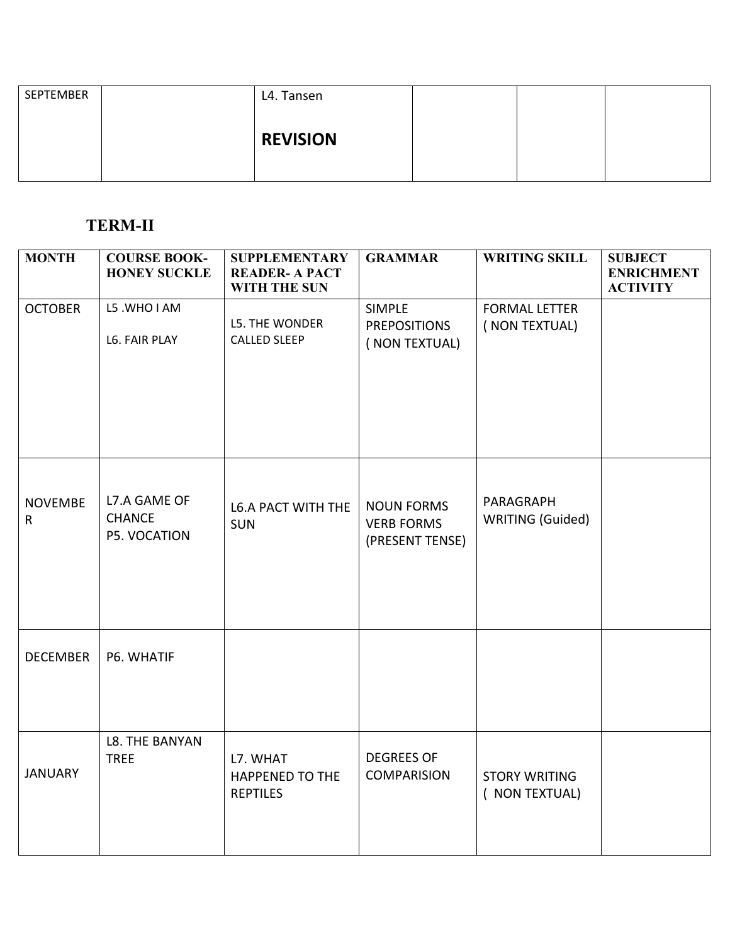| SEPTEMBER | L4. Tansen      |  |  |
|-----------|-----------------|--|--|
|           | <b>REVISION</b> |  |  |
|           |                 |  |  |

## **TERM-II**

| <b>MONTH</b>                   | <b>COURSE BOOK-</b><br><b>HONEY SUCKLE</b>    | <b>SUPPLEMENTARY</b><br><b>READER- A PACT</b><br><b>WITH THE SUN</b> | <b>GRAMMAR</b>                                            | <b>WRITING SKILL</b>                   | <b>SUBJECT</b><br><b>ENRICHMENT</b><br><b>ACTIVITY</b> |
|--------------------------------|-----------------------------------------------|----------------------------------------------------------------------|-----------------------------------------------------------|----------------------------------------|--------------------------------------------------------|
| <b>OCTOBER</b>                 | L5 .WHO I AM<br>L6. FAIR PLAY                 | L5. THE WONDER<br><b>CALLED SLEEP</b>                                | <b>SIMPLE</b><br><b>PREPOSITIONS</b><br>( NON TEXTUAL)    | <b>FORMAL LETTER</b><br>(NON TEXTUAL)  |                                                        |
| <b>NOVEMBE</b><br>$\mathsf{R}$ | L7.A GAME OF<br><b>CHANCE</b><br>P5. VOCATION | <b>L6.A PACT WITH THE</b><br><b>SUN</b>                              | <b>NOUN FORMS</b><br><b>VERB FORMS</b><br>(PRESENT TENSE) | PARAGRAPH<br><b>WRITING (Guided)</b>   |                                                        |
| <b>DECEMBER</b>                | P6. WHATIF                                    |                                                                      |                                                           |                                        |                                                        |
| <b>JANUARY</b>                 | L8. THE BANYAN<br><b>TREE</b>                 | L7. WHAT<br><b>HAPPENED TO THE</b><br><b>REPTILES</b>                | <b>DEGREES OF</b><br><b>COMPARISION</b>                   | <b>STORY WRITING</b><br>( NON TEXTUAL) |                                                        |